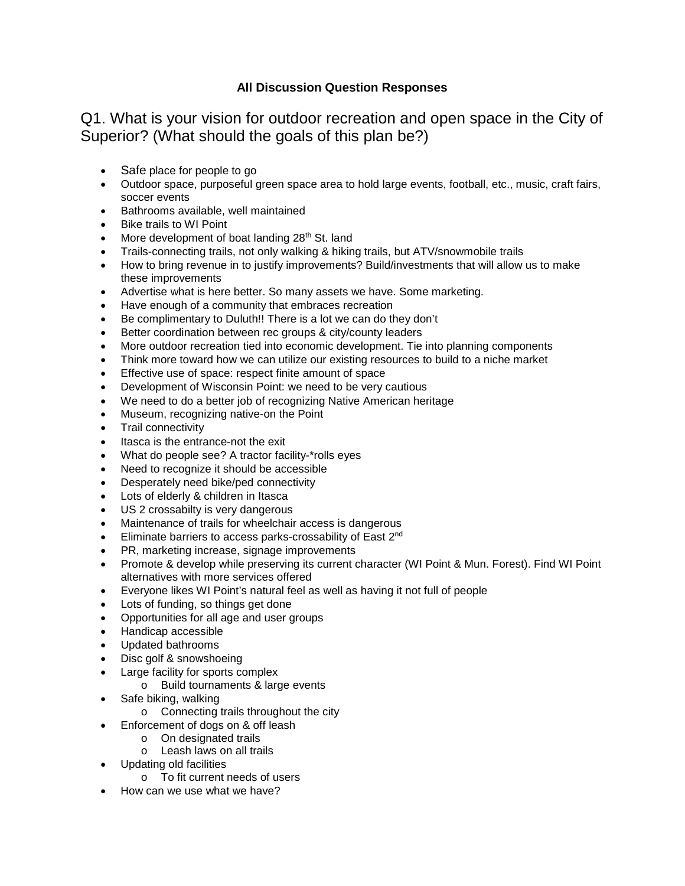## **All Discussion Question Responses**

Q1. What is your vision for outdoor recreation and open space in the City of Superior? (What should the goals of this plan be?)

- Safe place for people to go
- Outdoor space, purposeful green space area to hold large events, football, etc., music, craft fairs, soccer events
- Bathrooms available, well maintained
- Bike trails to WI Point
- More development of boat landing  $28<sup>th</sup>$  St. land
- Trails-connecting trails, not only walking & hiking trails, but ATV/snowmobile trails
- How to bring revenue in to justify improvements? Build/investments that will allow us to make these improvements
- Advertise what is here better. So many assets we have. Some marketing.
- Have enough of a community that embraces recreation
- Be complimentary to Duluth!! There is a lot we can do they don't
- Better coordination between rec groups & city/county leaders
- More outdoor recreation tied into economic development. Tie into planning components
- Think more toward how we can utilize our existing resources to build to a niche market
- Effective use of space: respect finite amount of space
- Development of Wisconsin Point: we need to be very cautious
- We need to do a better job of recognizing Native American heritage
- Museum, recognizing native-on the Point
- Trail connectivity
- Itasca is the entrance-not the exit
- What do people see? A tractor facility-\*rolls eyes
- Need to recognize it should be accessible
- Desperately need bike/ped connectivity
- Lots of elderly & children in Itasca
- US 2 crossabilty is very dangerous
- Maintenance of trails for wheelchair access is dangerous
- Eliminate barriers to access parks-crossability of East 2<sup>nd</sup>
- PR, marketing increase, signage improvements
- Promote & develop while preserving its current character (WI Point & Mun. Forest). Find WI Point alternatives with more services offered
- Everyone likes WI Point's natural feel as well as having it not full of people
- Lots of funding, so things get done
- Opportunities for all age and user groups
- Handicap accessible
- Updated bathrooms
- Disc golf & snowshoeing
- Large facility for sports complex
	- o Build tournaments & large events
- Safe biking, walking
	- o Connecting trails throughout the city
- Enforcement of dogs on & off leash
	- o On designated trails
	- o Leash laws on all trails
	- Updating old facilities
		- o To fit current needs of users
- How can we use what we have?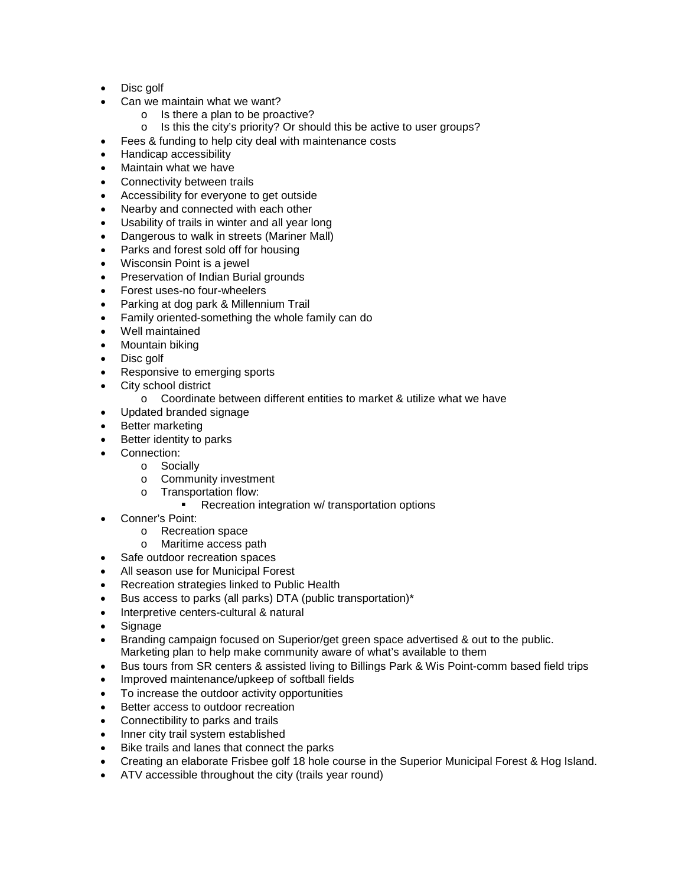- Disc golf
- Can we maintain what we want?
	- $\circ$  Is there a plan to be proactive?<br> $\circ$  Is this the city's priority? Or sho
	- Is this the city's priority? Or should this be active to user groups?
- Fees & funding to help city deal with maintenance costs
- Handicap accessibility
- Maintain what we have
- Connectivity between trails
- Accessibility for everyone to get outside
- Nearby and connected with each other
- Usability of trails in winter and all year long
- Dangerous to walk in streets (Mariner Mall)
- Parks and forest sold off for housing
- Wisconsin Point is a jewel
- Preservation of Indian Burial grounds
- Forest uses-no four-wheelers
- Parking at dog park & Millennium Trail
- Family oriented-something the whole family can do
- Well maintained
- Mountain biking
- Disc golf
- Responsive to emerging sports
- City school district
	- o Coordinate between different entities to market & utilize what we have
- Updated branded signage
- Better marketing
- Better identity to parks
- Connection:
	- o Socially
	- o Community investment
	- o Transportation flow:
		- Recreation integration w/ transportation options
- Conner's Point:
	- o Recreation space
	- o Maritime access path
- Safe outdoor recreation spaces
- All season use for Municipal Forest
- Recreation strategies linked to Public Health
- Bus access to parks (all parks) DTA (public transportation)\*
- Interpretive centers-cultural & natural
- Signage
- Branding campaign focused on Superior/get green space advertised & out to the public. Marketing plan to help make community aware of what's available to them
- Bus tours from SR centers & assisted living to Billings Park & Wis Point-comm based field trips
- Improved maintenance/upkeep of softball fields
- To increase the outdoor activity opportunities
- Better access to outdoor recreation
- Connectibility to parks and trails
- Inner city trail system established
- Bike trails and lanes that connect the parks
- Creating an elaborate Frisbee golf 18 hole course in the Superior Municipal Forest & Hog Island.
- ATV accessible throughout the city (trails year round)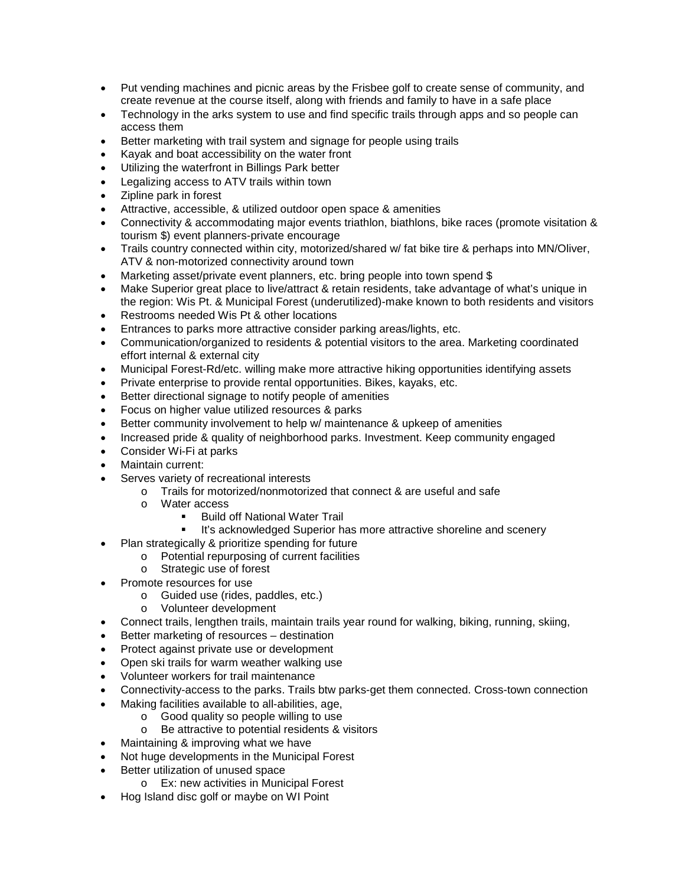- Put vending machines and picnic areas by the Frisbee golf to create sense of community, and create revenue at the course itself, along with friends and family to have in a safe place
- Technology in the arks system to use and find specific trails through apps and so people can access them
- Better marketing with trail system and signage for people using trails
- Kayak and boat accessibility on the water front
- Utilizing the waterfront in Billings Park better
- Legalizing access to ATV trails within town
- Zipline park in forest
- Attractive, accessible, & utilized outdoor open space & amenities
- Connectivity & accommodating major events triathlon, biathlons, bike races (promote visitation & tourism \$) event planners-private encourage
- Trails country connected within city, motorized/shared w/ fat bike tire & perhaps into MN/Oliver, ATV & non-motorized connectivity around town
- Marketing asset/private event planners, etc. bring people into town spend \$
- Make Superior great place to live/attract & retain residents, take advantage of what's unique in the region: Wis Pt. & Municipal Forest (underutilized)-make known to both residents and visitors
- Restrooms needed Wis Pt & other locations
- Entrances to parks more attractive consider parking areas/lights, etc.
- Communication/organized to residents & potential visitors to the area. Marketing coordinated effort internal & external city
- Municipal Forest-Rd/etc. willing make more attractive hiking opportunities identifying assets
- Private enterprise to provide rental opportunities. Bikes, kayaks, etc.
- Better directional signage to notify people of amenities
- Focus on higher value utilized resources & parks
- Better community involvement to help w/ maintenance & upkeep of amenities
- Increased pride & quality of neighborhood parks. Investment. Keep community engaged
- Consider Wi-Fi at parks
- Maintain current:
- Serves variety of recreational interests
	- o Trails for motorized/nonmotorized that connect & are useful and safe
	- o Water access
		- Build off National Water Trail
		- It's acknowledged Superior has more attractive shoreline and scenery
	- Plan strategically & prioritize spending for future
		- o Potential repurposing of current facilities
	- o Strategic use of forest
- Promote resources for use
	- o Guided use (rides, paddles, etc.)
	- o Volunteer development
- Connect trails, lengthen trails, maintain trails year round for walking, biking, running, skiing,
- Better marketing of resources destination
- Protect against private use or development
- Open ski trails for warm weather walking use
- Volunteer workers for trail maintenance
- Connectivity-access to the parks. Trails btw parks-get them connected. Cross-town connection
- Making facilities available to all-abilities, age,
	- o Good quality so people willing to use
	- Be attractive to potential residents & visitors
- Maintaining & improving what we have
- Not huge developments in the Municipal Forest
- Better utilization of unused space
	- o Ex: new activities in Municipal Forest
- Hog Island disc golf or maybe on WI Point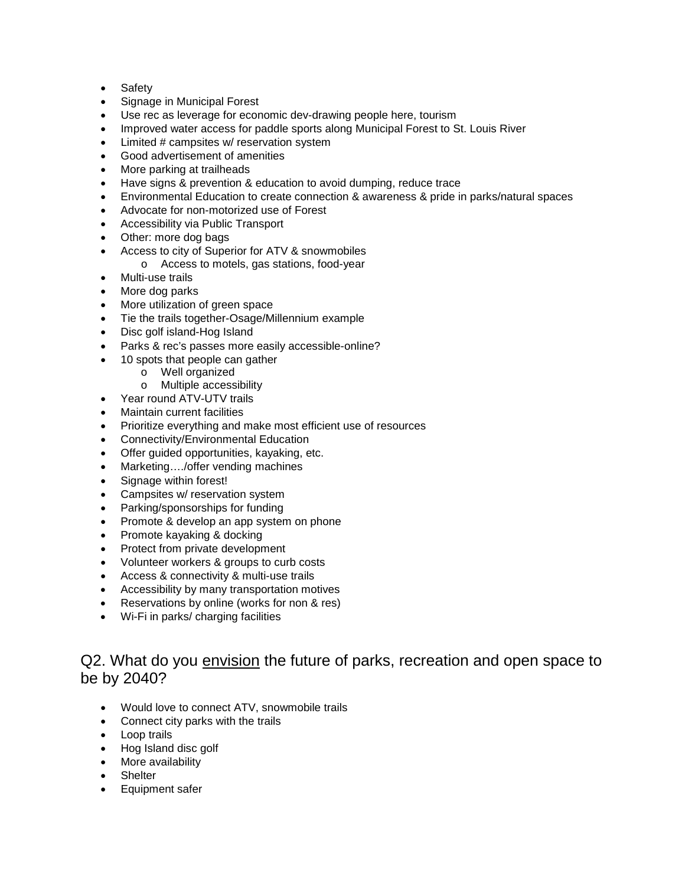- Safety
- Signage in Municipal Forest
- Use rec as leverage for economic dev-drawing people here, tourism
- Improved water access for paddle sports along Municipal Forest to St. Louis River
- Limited # campsites w/ reservation system
- Good advertisement of amenities
- More parking at trailheads
- Have signs & prevention & education to avoid dumping, reduce trace
- Environmental Education to create connection & awareness & pride in parks/natural spaces
- Advocate for non-motorized use of Forest
- Accessibility via Public Transport
- Other: more dog bags
- Access to city of Superior for ATV & snowmobiles
	- o Access to motels, gas stations, food-year
- Multi-use trails
- More dog parks
- More utilization of green space
- Tie the trails together-Osage/Millennium example
- Disc golf island-Hog Island
- Parks & rec's passes more easily accessible-online?
- 10 spots that people can gather
	- o Well organized
	- o Multiple accessibility
- Year round ATV-UTV trails
- Maintain current facilities
- Prioritize everything and make most efficient use of resources
- Connectivity/Environmental Education
- Offer guided opportunities, kayaking, etc.
- Marketing..../offer vending machines
- Signage within forest!
- Campsites w/ reservation system
- Parking/sponsorships for funding
- Promote & develop an app system on phone
- Promote kayaking & docking
- Protect from private development
- Volunteer workers & groups to curb costs
- Access & connectivity & multi-use trails
- Accessibility by many transportation motives
- Reservations by online (works for non & res)
- Wi-Fi in parks/ charging facilities

## Q2. What do you envision the future of parks, recreation and open space to be by 2040?

- Would love to connect ATV, snowmobile trails
- Connect city parks with the trails
- Loop trails
- Hog Island disc golf
- More availability
- **Shelter**
- Equipment safer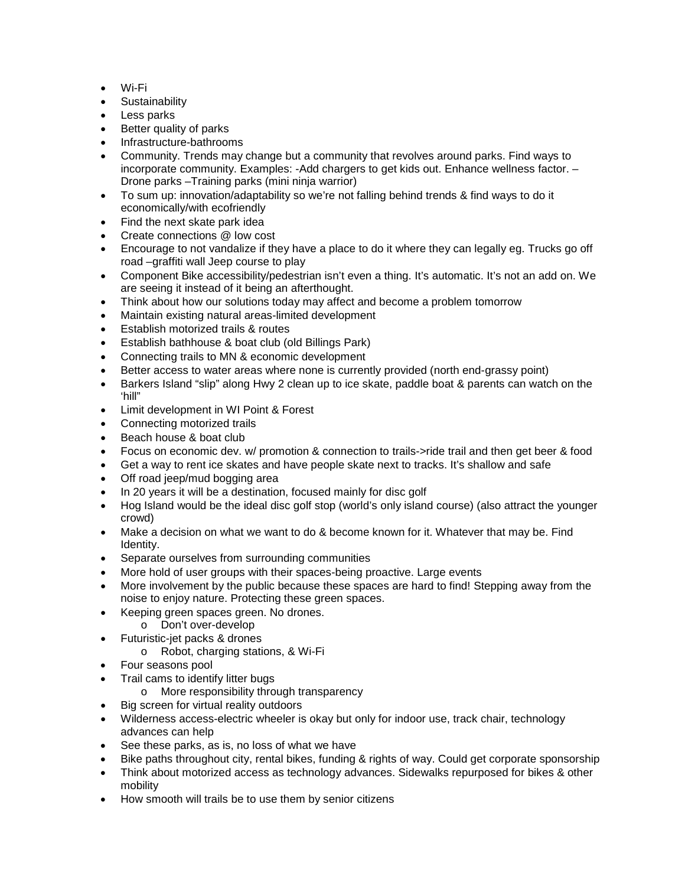- Wi-Fi
- Sustainability
- Less parks
- Better quality of parks
- Infrastructure-bathrooms
- Community. Trends may change but a community that revolves around parks. Find ways to incorporate community. Examples: -Add chargers to get kids out. Enhance wellness factor. – Drone parks –Training parks (mini ninja warrior)
- To sum up: innovation/adaptability so we're not falling behind trends & find ways to do it economically/with ecofriendly
- Find the next skate park idea
- Create connections @ low cost
- Encourage to not vandalize if they have a place to do it where they can legally eg. Trucks go off road –graffiti wall Jeep course to play
- Component Bike accessibility/pedestrian isn't even a thing. It's automatic. It's not an add on. We are seeing it instead of it being an afterthought.
- Think about how our solutions today may affect and become a problem tomorrow
- Maintain existing natural areas-limited development
- Establish motorized trails & routes
- Establish bathhouse & boat club (old Billings Park)
- Connecting trails to MN & economic development
- Better access to water areas where none is currently provided (north end-grassy point)
- Barkers Island "slip" along Hwy 2 clean up to ice skate, paddle boat & parents can watch on the 'hill"
- Limit development in WI Point & Forest
- Connecting motorized trails
- Beach house & boat club
- Focus on economic dev. w/ promotion & connection to trails->ride trail and then get beer & food
- Get a way to rent ice skates and have people skate next to tracks. It's shallow and safe
- Off road jeep/mud bogging area
- In 20 years it will be a destination, focused mainly for disc golf
- Hog Island would be the ideal disc golf stop (world's only island course) (also attract the younger crowd)
- Make a decision on what we want to do & become known for it. Whatever that may be. Find Identity.
- Separate ourselves from surrounding communities
- More hold of user groups with their spaces-being proactive. Large events
- More involvement by the public because these spaces are hard to find! Stepping away from the noise to enjoy nature. Protecting these green spaces.
- Keeping green spaces green. No drones.
	- o Don't over-develop
- Futuristic-jet packs & drones
	- o Robot, charging stations, & Wi-Fi
- Four seasons pool
- Trail cams to identify litter bugs
	- o More responsibility through transparency
- Big screen for virtual reality outdoors
- Wilderness access-electric wheeler is okay but only for indoor use, track chair, technology advances can help
- See these parks, as is, no loss of what we have
- Bike paths throughout city, rental bikes, funding & rights of way. Could get corporate sponsorship
- Think about motorized access as technology advances. Sidewalks repurposed for bikes & other mobility
- How smooth will trails be to use them by senior citizens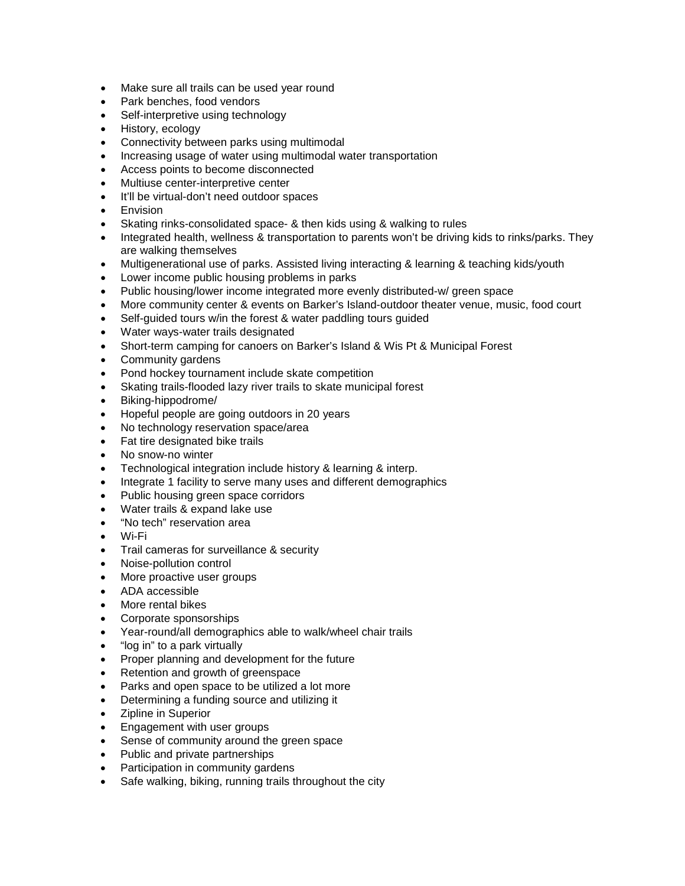- Make sure all trails can be used year round
- Park benches, food vendors
- Self-interpretive using technology
- History, ecology
- Connectivity between parks using multimodal
- Increasing usage of water using multimodal water transportation
- Access points to become disconnected
- Multiuse center-interpretive center
- It'll be virtual-don't need outdoor spaces
- Envision
- Skating rinks-consolidated space- & then kids using & walking to rules
- Integrated health, wellness & transportation to parents won't be driving kids to rinks/parks. They are walking themselves
- Multigenerational use of parks. Assisted living interacting & learning & teaching kids/youth
- Lower income public housing problems in parks
- Public housing/lower income integrated more evenly distributed-w/ green space
- More community center & events on Barker's Island-outdoor theater venue, music, food court
- Self-quided tours w/in the forest & water paddling tours quided
- Water ways-water trails designated
- Short-term camping for canoers on Barker's Island & Wis Pt & Municipal Forest
- Community gardens
- Pond hockey tournament include skate competition
- Skating trails-flooded lazy river trails to skate municipal forest
- Biking-hippodrome/
- Hopeful people are going outdoors in 20 years
- No technology reservation space/area
- Fat tire designated bike trails
- No snow-no winter
- Technological integration include history & learning & interp.
- Integrate 1 facility to serve many uses and different demographics
- Public housing green space corridors
- Water trails & expand lake use
- "No tech" reservation area
- Wi-Fi
- Trail cameras for surveillance & security
- Noise-pollution control
- More proactive user groups
- ADA accessible
- More rental bikes
- Corporate sponsorships
- Year-round/all demographics able to walk/wheel chair trails
- "log in" to a park virtually
- Proper planning and development for the future
- Retention and growth of greenspace
- Parks and open space to be utilized a lot more
- Determining a funding source and utilizing it
- Zipline in Superior
- Engagement with user groups
- Sense of community around the green space
- Public and private partnerships
- Participation in community gardens
- Safe walking, biking, running trails throughout the city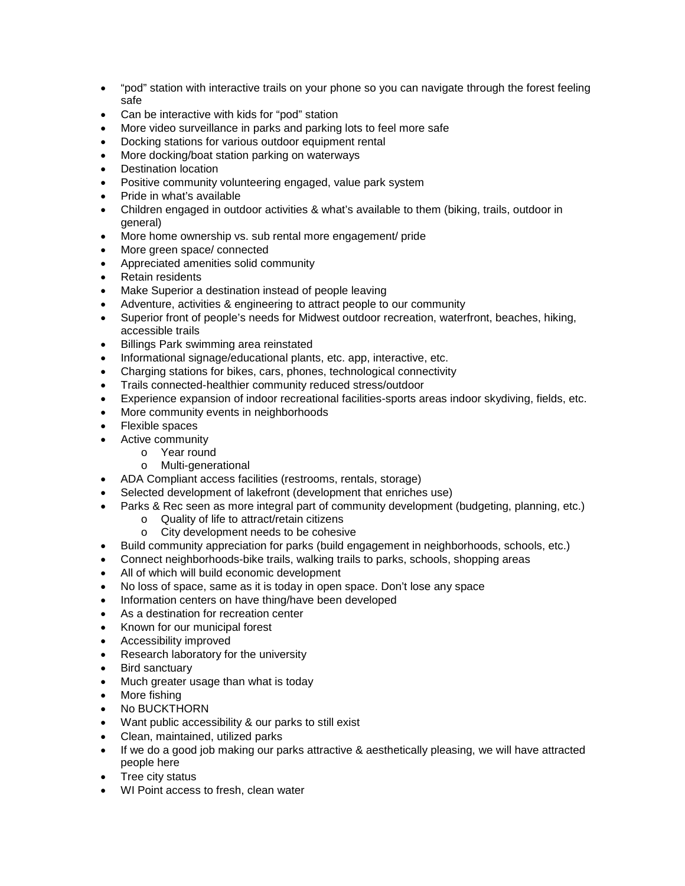- "pod" station with interactive trails on your phone so you can navigate through the forest feeling safe
- Can be interactive with kids for "pod" station
- More video surveillance in parks and parking lots to feel more safe
- Docking stations for various outdoor equipment rental
- More docking/boat station parking on waterways
- Destination location
- Positive community volunteering engaged, value park system
- Pride in what's available
- Children engaged in outdoor activities & what's available to them (biking, trails, outdoor in general)
- More home ownership vs. sub rental more engagement/ pride
- More green space/ connected
- Appreciated amenities solid community
- Retain residents
- Make Superior a destination instead of people leaving
- Adventure, activities & engineering to attract people to our community
- Superior front of people's needs for Midwest outdoor recreation, waterfront, beaches, hiking, accessible trails
- Billings Park swimming area reinstated
- Informational signage/educational plants, etc. app, interactive, etc.
- Charging stations for bikes, cars, phones, technological connectivity
- Trails connected-healthier community reduced stress/outdoor
- Experience expansion of indoor recreational facilities-sports areas indoor skydiving, fields, etc.
- More community events in neighborhoods
- Flexible spaces
- Active community
	- o Year round
	- o Multi-generational
- ADA Compliant access facilities (restrooms, rentals, storage)
- Selected development of lakefront (development that enriches use)
- Parks & Rec seen as more integral part of community development (budgeting, planning, etc.)
	- o Quality of life to attract/retain citizens<br>o City development needs to be cohesi
	- City development needs to be cohesive
- Build community appreciation for parks (build engagement in neighborhoods, schools, etc.)
- Connect neighborhoods-bike trails, walking trails to parks, schools, shopping areas
- All of which will build economic development
- No loss of space, same as it is today in open space. Don't lose any space
- Information centers on have thing/have been developed
- As a destination for recreation center
- Known for our municipal forest
- Accessibility improved
- Research laboratory for the university
- Bird sanctuary
- Much greater usage than what is today
- More fishing
- No BUCKTHORN
- Want public accessibility & our parks to still exist
- Clean, maintained, utilized parks
- If we do a good job making our parks attractive & aesthetically pleasing, we will have attracted people here
- Tree city status
- WI Point access to fresh, clean water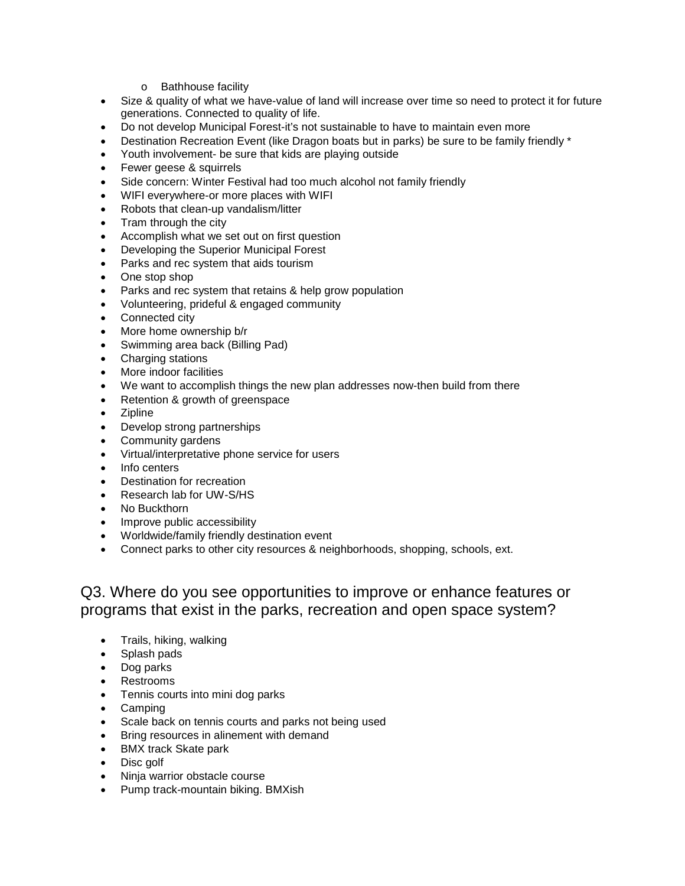- o Bathhouse facility
- Size & quality of what we have-value of land will increase over time so need to protect it for future generations. Connected to quality of life.
- Do not develop Municipal Forest-it's not sustainable to have to maintain even more
- Destination Recreation Event (like Dragon boats but in parks) be sure to be family friendly \*
- Youth involvement- be sure that kids are playing outside
- Fewer geese & squirrels
- Side concern: Winter Festival had too much alcohol not family friendly
- WIFI everywhere-or more places with WIFI
- Robots that clean-up vandalism/litter
- Tram through the city
- Accomplish what we set out on first question
- Developing the Superior Municipal Forest
- Parks and rec system that aids tourism
- One stop shop
- Parks and rec system that retains & help grow population
- Volunteering, prideful & engaged community
- Connected city
- More home ownership b/r
- Swimming area back (Billing Pad)
- Charging stations
- More indoor facilities
- We want to accomplish things the new plan addresses now-then build from there
- Retention & growth of greenspace
- Zipline
- Develop strong partnerships
- Community gardens
- Virtual/interpretative phone service for users
- Info centers
- Destination for recreation
- Research lab for UW-S/HS
- No Buckthorn
- Improve public accessibility
- Worldwide/family friendly destination event
- Connect parks to other city resources & neighborhoods, shopping, schools, ext.

## Q3. Where do you see opportunities to improve or enhance features or programs that exist in the parks, recreation and open space system?

- Trails, hiking, walking
- Splash pads
- Dog parks
- Restrooms
- Tennis courts into mini dog parks
- Camping
- Scale back on tennis courts and parks not being used
- Bring resources in alinement with demand
- BMX track Skate park
- Disc golf
- Ninja warrior obstacle course
- Pump track-mountain biking. BMXish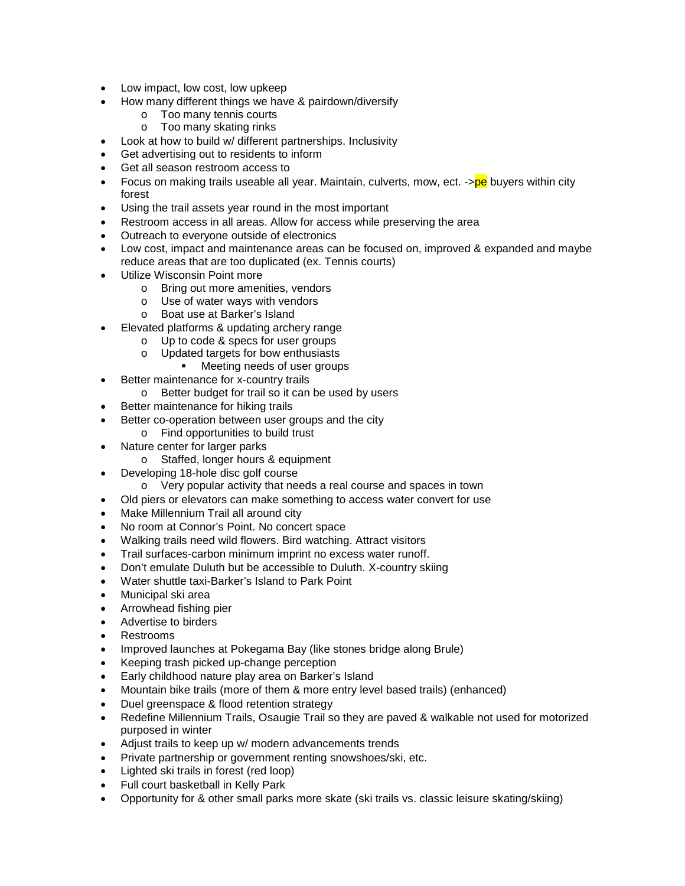- Low impact, low cost, low upkeep
- How many different things we have & pairdown/diversify
	- o Too many tennis courts
	- o Too many skating rinks
- Look at how to build w/ different partnerships. Inclusivity
- Get advertising out to residents to inform
- Get all season restroom access to
- Focus on making trails useable all year. Maintain, culverts, mow, ect. ->pe buyers within city forest
- Using the trail assets year round in the most important
- Restroom access in all areas. Allow for access while preserving the area
- Outreach to everyone outside of electronics
- Low cost, impact and maintenance areas can be focused on, improved & expanded and maybe reduce areas that are too duplicated (ex. Tennis courts)
- Utilize Wisconsin Point more
	- o Bring out more amenities, vendors
	- o Use of water ways with vendors
	- o Boat use at Barker's Island
- Elevated platforms & updating archery range
	- o Up to code & specs for user groups
	- o Updated targets for bow enthusiasts
		- **•** Meeting needs of user groups
- Better maintenance for x-country trails
	- o Better budget for trail so it can be used by users
- Better maintenance for hiking trails
- Better co-operation between user groups and the city
	- o Find opportunities to build trust
- Nature center for larger parks
	- o Staffed, longer hours & equipment
- Developing 18-hole disc golf course
	- o Very popular activity that needs a real course and spaces in town
- Old piers or elevators can make something to access water convert for use
- Make Millennium Trail all around city
- No room at Connor's Point. No concert space
- Walking trails need wild flowers. Bird watching. Attract visitors
- Trail surfaces-carbon minimum imprint no excess water runoff.
- Don't emulate Duluth but be accessible to Duluth. X-country skiing
- Water shuttle taxi-Barker's Island to Park Point
- Municipal ski area
- Arrowhead fishing pier
- Advertise to birders
- Restrooms
- Improved launches at Pokegama Bay (like stones bridge along Brule)
- Keeping trash picked up-change perception
- Early childhood nature play area on Barker's Island
- Mountain bike trails (more of them & more entry level based trails) (enhanced)
- Duel greenspace & flood retention strategy
- Redefine Millennium Trails, Osaugie Trail so they are paved & walkable not used for motorized purposed in winter
- Adjust trails to keep up w/ modern advancements trends
- Private partnership or government renting snowshoes/ski, etc.
- Lighted ski trails in forest (red loop)
- Full court basketball in Kelly Park
- Opportunity for & other small parks more skate (ski trails vs. classic leisure skating/skiing)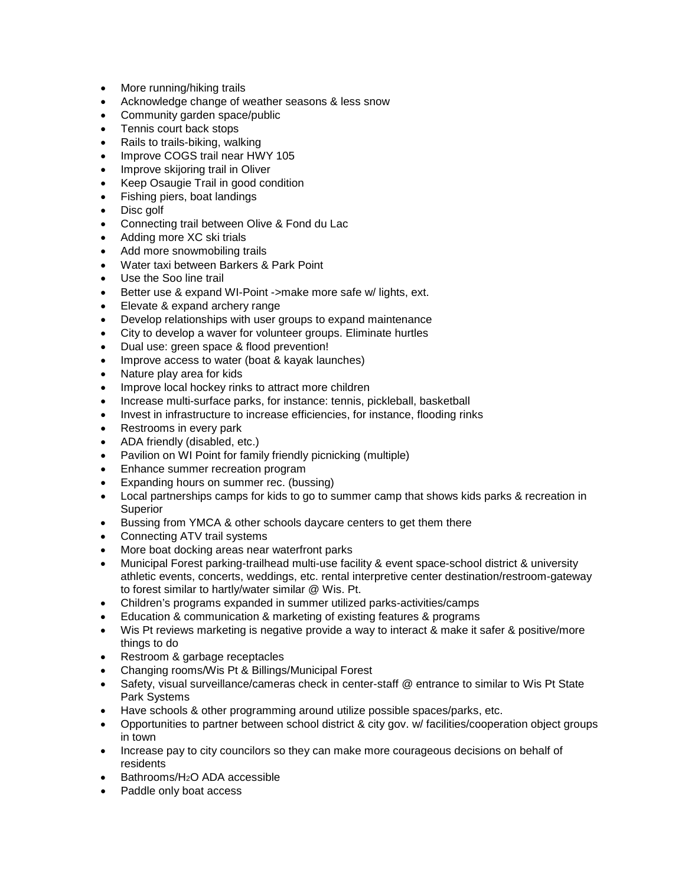- More running/hiking trails
- Acknowledge change of weather seasons & less snow
- Community garden space/public
- Tennis court back stops
- Rails to trails-biking, walking
- Improve COGS trail near HWY 105
- Improve skijoring trail in Oliver
- Keep Osaugie Trail in good condition
- Fishing piers, boat landings
- Disc golf
- Connecting trail between Olive & Fond du Lac
- Adding more XC ski trials
- Add more snowmobiling trails
- Water taxi between Barkers & Park Point
- Use the Soo line trail
- Better use & expand WI-Point ->make more safe w/ lights, ext.
- Elevate & expand archery range
- Develop relationships with user groups to expand maintenance
- City to develop a waver for volunteer groups. Eliminate hurtles
- Dual use: green space & flood prevention!
- Improve access to water (boat & kayak launches)
- Nature play area for kids
- Improve local hockey rinks to attract more children
- Increase multi-surface parks, for instance: tennis, pickleball, basketball
- Invest in infrastructure to increase efficiencies, for instance, flooding rinks
- Restrooms in every park
- ADA friendly (disabled, etc.)
- Pavilion on WI Point for family friendly picnicking (multiple)
- Enhance summer recreation program
- Expanding hours on summer rec. (bussing)
- Local partnerships camps for kids to go to summer camp that shows kids parks & recreation in Superior
- Bussing from YMCA & other schools daycare centers to get them there
- Connecting ATV trail systems
- More boat docking areas near waterfront parks
- Municipal Forest parking-trailhead multi-use facility & event space-school district & university athletic events, concerts, weddings, etc. rental interpretive center destination/restroom-gateway to forest similar to hartly/water similar @ Wis. Pt.
- Children's programs expanded in summer utilized parks-activities/camps
- Education & communication & marketing of existing features & programs
- Wis Pt reviews marketing is negative provide a way to interact & make it safer & positive/more things to do
- Restroom & garbage receptacles
- Changing rooms/Wis Pt & Billings/Municipal Forest
- Safety, visual surveillance/cameras check in center-staff @ entrance to similar to Wis Pt State Park Systems
- Have schools & other programming around utilize possible spaces/parks, etc.
- Opportunities to partner between school district & city gov. w/ facilities/cooperation object groups in town
- Increase pay to city councilors so they can make more courageous decisions on behalf of residents
- Bathrooms/H2O ADA accessible
- Paddle only boat access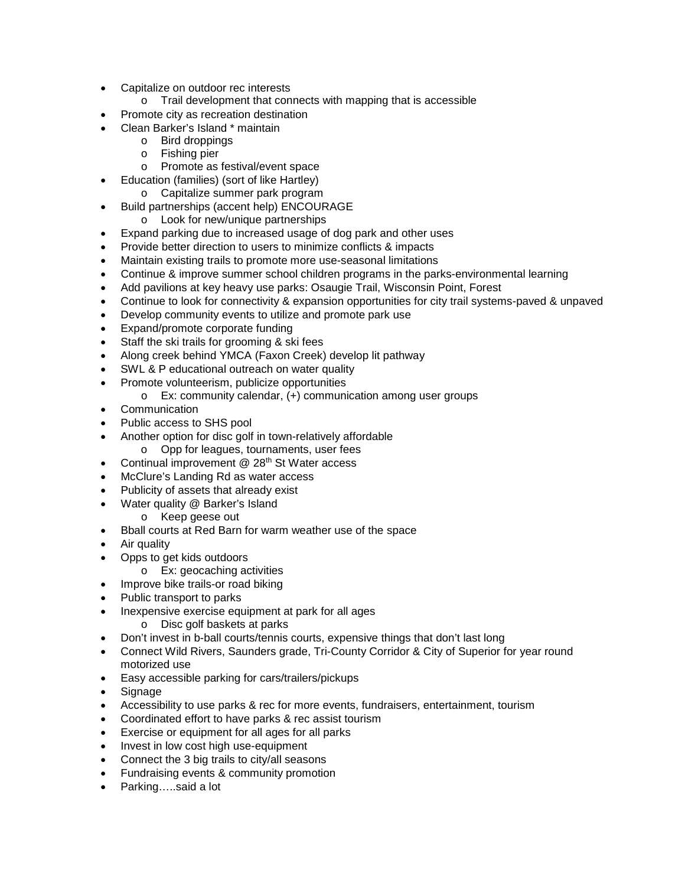- Capitalize on outdoor rec interests
	- o Trail development that connects with mapping that is accessible
- Promote city as recreation destination
- Clean Barker's Island \* maintain
	- o Bird droppings
	- o Fishing pier
	- o Promote as festival/event space
	- Education (families) (sort of like Hartley)
		- o Capitalize summer park program
- Build partnerships (accent help) ENCOURAGE
	- o Look for new/unique partnerships
- Expand parking due to increased usage of dog park and other uses
- Provide better direction to users to minimize conflicts & impacts
- Maintain existing trails to promote more use-seasonal limitations
- Continue & improve summer school children programs in the parks-environmental learning
- Add pavilions at key heavy use parks: Osaugie Trail, Wisconsin Point, Forest
- Continue to look for connectivity & expansion opportunities for city trail systems-paved & unpaved
- Develop community events to utilize and promote park use
- Expand/promote corporate funding
- Staff the ski trails for grooming & ski fees
- Along creek behind YMCA (Faxon Creek) develop lit pathway
- SWL & P educational outreach on water quality
- Promote volunteerism, publicize opportunities
	- o Ex: community calendar, (+) communication among user groups
- Communication
- Public access to SHS pool
- Another option for disc golf in town-relatively affordable
	- o Opp for leagues, tournaments, user fees
- Continual improvement  $@28<sup>th</sup>$  St Water access
- McClure's Landing Rd as water access
- Publicity of assets that already exist
- Water quality @ Barker's Island
	- o Keep geese out
- Bball courts at Red Barn for warm weather use of the space
- Air quality
- Opps to get kids outdoors
	- o Ex: geocaching activities
- Improve bike trails-or road biking
- Public transport to parks
- Inexpensive exercise equipment at park for all ages
	- o Disc golf baskets at parks
- Don't invest in b-ball courts/tennis courts, expensive things that don't last long
- Connect Wild Rivers, Saunders grade, Tri-County Corridor & City of Superior for year round motorized use
- Easy accessible parking for cars/trailers/pickups
- Signage
- Accessibility to use parks & rec for more events, fundraisers, entertainment, tourism
- Coordinated effort to have parks & rec assist tourism
- Exercise or equipment for all ages for all parks
- Invest in low cost high use-equipment
- Connect the 3 big trails to city/all seasons
- Fundraising events & community promotion
- Parking…..said a lot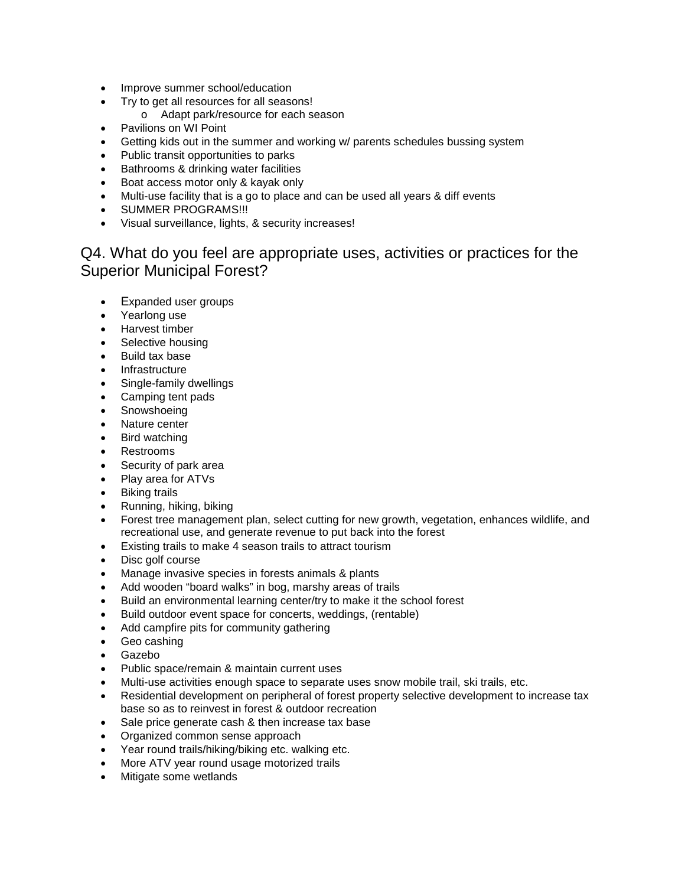- Improve summer school/education
- Try to get all resources for all seasons!
	- o Adapt park/resource for each season
- Pavilions on WI Point
- Getting kids out in the summer and working w/ parents schedules bussing system
- Public transit opportunities to parks
- Bathrooms & drinking water facilities
- Boat access motor only & kayak only
- Multi-use facility that is a go to place and can be used all years & diff events
- SUMMER PROGRAMS!!!
- Visual surveillance, lights, & security increases!

## Q4. What do you feel are appropriate uses, activities or practices for the Superior Municipal Forest?

- Expanded user groups
- Yearlong use
- Harvest timber
- Selective housing
- Build tax base
- Infrastructure
- Single-family dwellings
- Camping tent pads
- Snowshoeing
- Nature center
- Bird watching
- Restrooms
- Security of park area
- Play area for ATVs
- Biking trails
- Running, hiking, biking
- Forest tree management plan, select cutting for new growth, vegetation, enhances wildlife, and recreational use, and generate revenue to put back into the forest
- Existing trails to make 4 season trails to attract tourism
- Disc golf course
- Manage invasive species in forests animals & plants
- Add wooden "board walks" in bog, marshy areas of trails
- Build an environmental learning center/try to make it the school forest
- Build outdoor event space for concerts, weddings, (rentable)
- Add campfire pits for community gathering
- Geo cashing
- Gazebo
- Public space/remain & maintain current uses
- Multi-use activities enough space to separate uses snow mobile trail, ski trails, etc.
- Residential development on peripheral of forest property selective development to increase tax base so as to reinvest in forest & outdoor recreation
- Sale price generate cash & then increase tax base
- Organized common sense approach
- Year round trails/hiking/biking etc. walking etc.
- More ATV year round usage motorized trails
- Mitigate some wetlands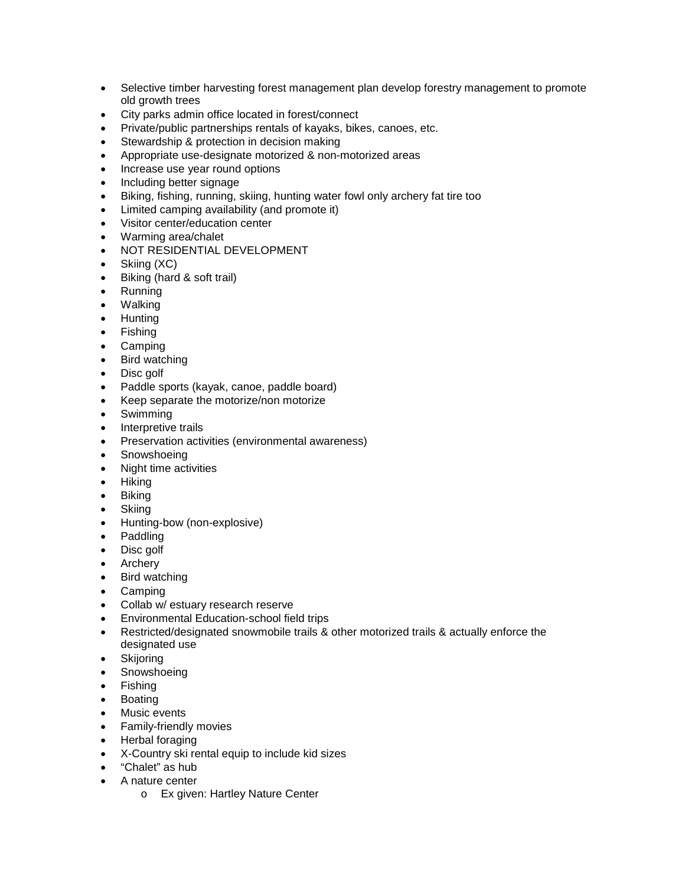- Selective timber harvesting forest management plan develop forestry management to promote old growth trees
- City parks admin office located in forest/connect
- Private/public partnerships rentals of kayaks, bikes, canoes, etc.
- Stewardship & protection in decision making
- Appropriate use-designate motorized & non-motorized areas
- Increase use year round options
- Including better signage
- Biking, fishing, running, skiing, hunting water fowl only archery fat tire too
- Limited camping availability (and promote it)
- Visitor center/education center
- Warming area/chalet
- NOT RESIDENTIAL DEVELOPMENT
- Skiing (XC)
- Biking (hard & soft trail)
- Running
- Walking
- Hunting
- Fishing
- Camping
- Bird watching
- Disc golf
- Paddle sports (kayak, canoe, paddle board)
- Keep separate the motorize/non motorize
- Swimming
- Interpretive trails
- Preservation activities (environmental awareness)
- Snowshoeing
- Night time activities
- Hiking
- Biking
- Skiing
- Hunting-bow (non-explosive)
- Paddling
- Disc golf
- Archery
- Bird watching
- Camping
- Collab w/ estuary research reserve
- Environmental Education-school field trips
- Restricted/designated snowmobile trails & other motorized trails & actually enforce the designated use
- Skijoring
- Snowshoeing
- Fishing
- Boating
- Music events
- Family-friendly movies
- Herbal foraging
- X-Country ski rental equip to include kid sizes
- "Chalet" as hub
- A nature center
	- o Ex given: Hartley Nature Center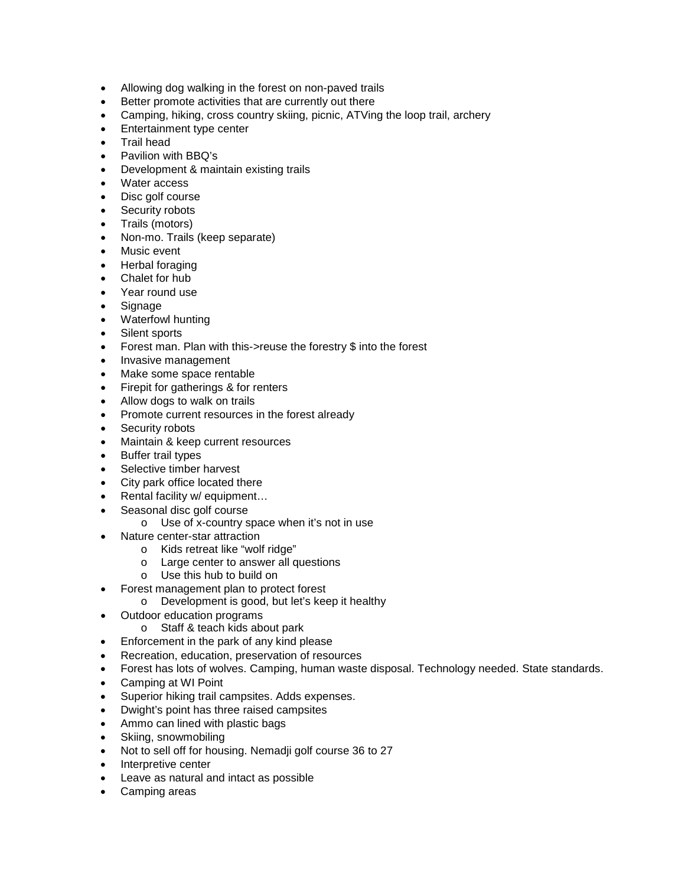- Allowing dog walking in the forest on non-paved trails
- Better promote activities that are currently out there
- Camping, hiking, cross country skiing, picnic, ATVing the loop trail, archery
- Entertainment type center
- Trail head
- Pavilion with BBQ's
- Development & maintain existing trails
- Water access
- Disc golf course
- Security robots
- Trails (motors)
- Non-mo. Trails (keep separate)
- Music event
- Herbal foraging
- Chalet for hub
- Year round use
- Signage
- Waterfowl hunting
- Silent sports
- Forest man. Plan with this->reuse the forestry \$ into the forest
- Invasive management
- Make some space rentable
- Firepit for gatherings & for renters
- Allow dogs to walk on trails
- Promote current resources in the forest already
- Security robots
- Maintain & keep current resources
- Buffer trail types
- Selective timber harvest
- City park office located there
- Rental facility w/ equipment...
- Seasonal disc golf course
	- o Use of x-country space when it's not in use
- Nature center-star attraction
	- o Kids retreat like "wolf ridge"
	- o Large center to answer all questions
	- o Use this hub to build on
- Forest management plan to protect forest
	- o Development is good, but let's keep it healthy
- Outdoor education programs
	- o Staff & teach kids about park
- Enforcement in the park of any kind please
- Recreation, education, preservation of resources
- Forest has lots of wolves. Camping, human waste disposal. Technology needed. State standards.
- Camping at WI Point
- Superior hiking trail campsites. Adds expenses.
- Dwight's point has three raised campsites
- Ammo can lined with plastic bags
- Skiing, snowmobiling
- Not to sell off for housing. Nemadji golf course 36 to 27
- Interpretive center
- Leave as natural and intact as possible
- Camping areas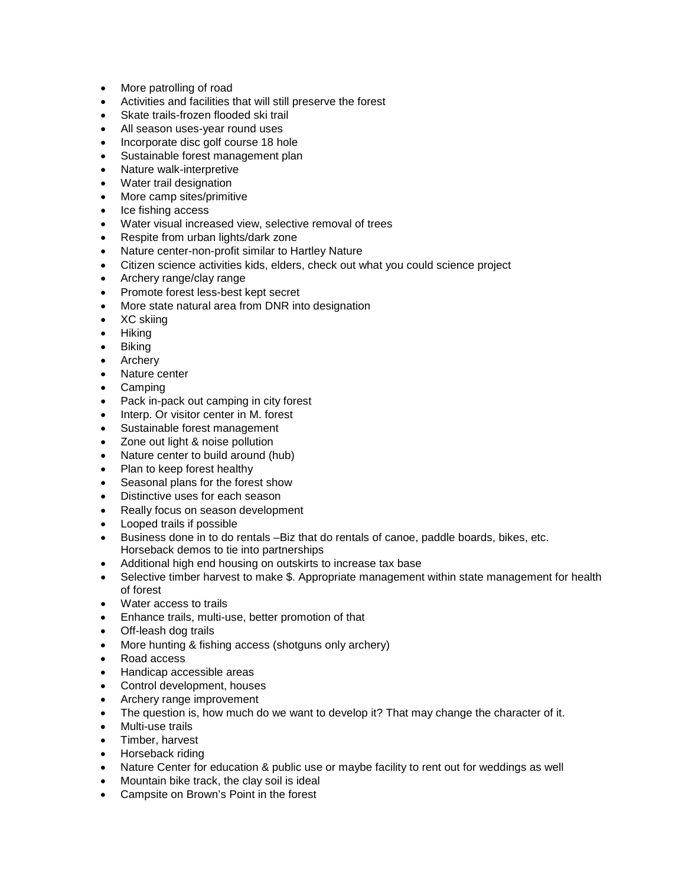- More patrolling of road
- Activities and facilities that will still preserve the forest
- Skate trails-frozen flooded ski trail
- All season uses-year round uses
- Incorporate disc golf course 18 hole
- Sustainable forest management plan
- Nature walk-interpretive
- Water trail designation
- More camp sites/primitive
- Ice fishing access
- Water visual increased view, selective removal of trees
- Respite from urban lights/dark zone
- Nature center-non-profit similar to Hartley Nature
- Citizen science activities kids, elders, check out what you could science project
- Archery range/clay range
- Promote forest less-best kept secret
- More state natural area from DNR into designation
- XC skiing
- Hiking
- Biking
- Archery
- Nature center
- Camping
- Pack in-pack out camping in city forest
- Interp. Or visitor center in M. forest
- Sustainable forest management
- Zone out light & noise pollution
- Nature center to build around (hub)
- Plan to keep forest healthy
- Seasonal plans for the forest show
- Distinctive uses for each season
- Really focus on season development
- Looped trails if possible
- Business done in to do rentals –Biz that do rentals of canoe, paddle boards, bikes, etc. Horseback demos to tie into partnerships
- Additional high end housing on outskirts to increase tax base
- Selective timber harvest to make \$. Appropriate management within state management for health of forest
- Water access to trails
- Enhance trails, multi-use, better promotion of that
- Off-leash dog trails
- More hunting & fishing access (shotguns only archery)
- Road access
- Handicap accessible areas
- Control development, houses
- Archery range improvement
- The question is, how much do we want to develop it? That may change the character of it.
- Multi-use trails
- Timber, harvest
- Horseback riding
- Nature Center for education & public use or maybe facility to rent out for weddings as well
- Mountain bike track, the clay soil is ideal
- Campsite on Brown's Point in the forest